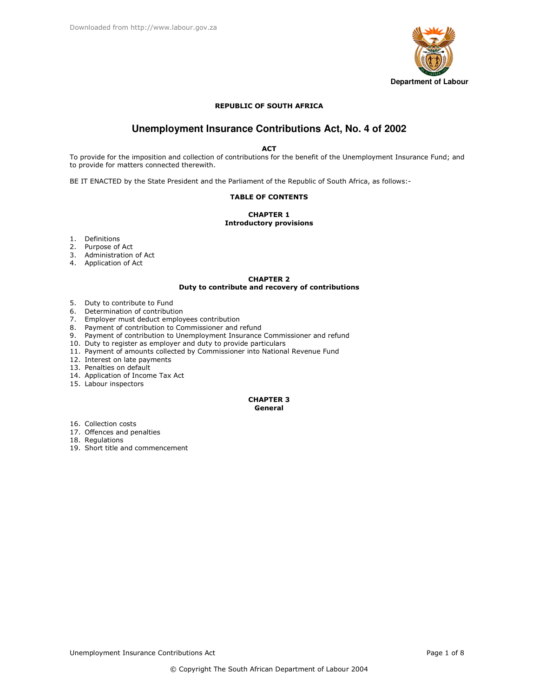

## **REPUBLIC OF SOUTH AFRICA**

# Unemployment Insurance Contributions Act, No. 4 of 2002

**ACT** 

To provide for the imposition and collection of contributions for the benefit of the Unemployment Insurance Fund; and to provide for matters connected therewith.

BE IT ENACTED by the State President and the Parliament of the Republic of South Africa, as follows:-

### **TABLE OF CONTENTS**

### **CHAPTER 1 Introductory provisions**

- 1. Definitions
- 2. Purpose of Act
- 3. Administration of Act
- 4. Application of Act

### **CHAPTER 2** Duty to contribute and recovery of contributions

- 5. Duty to contribute to Fund
- 6. Determination of contribution
- 7. Employer must deduct employees contribution
- 8. Payment of contribution to Commissioner and refund
- 9. Payment of contribution to Unemployment Insurance Commissioner and refund
- 10. Duty to register as employer and duty to provide particulars
- 11. Payment of amounts collected by Commissioner into National Revenue Fund
- 12. Interest on late payments
- 13. Penalties on default
- 14. Application of Income Tax Act
- 15. Labour inspectors

### **CHAPTER 3** General

16. Collection costs

- 17. Offences and penalties
- 18. Regulations
- 19. Short title and commencement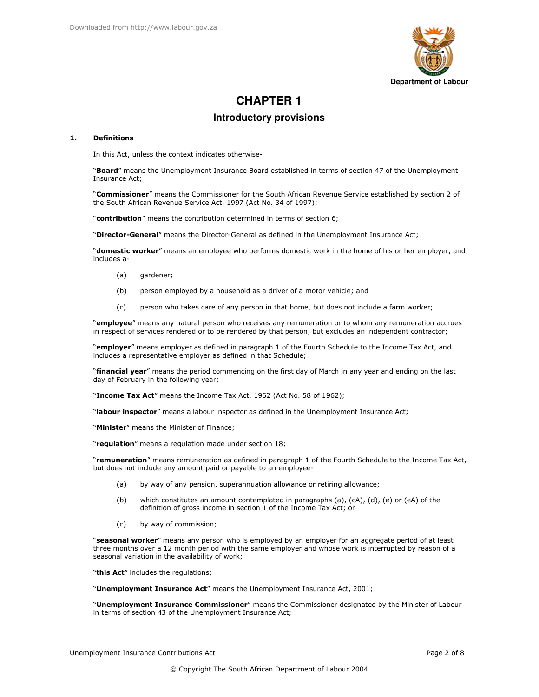

# **CHAPTER 1**

## **Introductory provisions**

#### $\mathbf{1}$ . **Definitions**

In this Act, unless the context indicates otherwise-

"Board" means the Unemployment Insurance Board established in terms of section 47 of the Unemployment Insurance Act;

"Commissioner" means the Commissioner for the South African Revenue Service established by section 2 of the South African Revenue Service Act, 1997 (Act No. 34 of 1997);

"contribution" means the contribution determined in terms of section 6;

"Director-General" means the Director-General as defined in the Unemployment Insurance Act;

"domestic worker" means an employee who performs domestic work in the home of his or her employer, and includes a-

- $(a)$ qardener;
- $(b)$ person employed by a household as a driver of a motor vehicle; and
- person who takes care of any person in that home, but does not include a farm worker;  $(c)$

"employee" means any natural person who receives any remuneration or to whom any remuneration accrues in respect of services rendered or to be rendered by that person, but excludes an independent contractor;

"employer" means employer as defined in paragraph 1 of the Fourth Schedule to the Income Tax Act, and includes a representative employer as defined in that Schedule;

"financial year" means the period commencing on the first day of March in any year and ending on the last day of February in the following year;

"Income Tax Act" means the Income Tax Act, 1962 (Act No. 58 of 1962);

"labour inspector" means a labour inspector as defined in the Unemployment Insurance Act;

"Minister" means the Minister of Finance:

"regulation" means a regulation made under section 18;

"remuneration" means remuneration as defined in paragraph 1 of the Fourth Schedule to the Income Tax Act, but does not include any amount paid or payable to an employee-

- by way of any pension, superannuation allowance or retiring allowance; (a)
- $(b)$ which constitutes an amount contemplated in paragraphs (a), (cA), (d), (e) or (eA) of the definition of gross income in section 1 of the Income Tax Act; or
- $(c)$ by way of commission;

"seasonal worker" means any person who is employed by an employer for an aggregate period of at least three months over a 12 month period with the same employer and whose work is interrupted by reason of a seasonal variation in the availability of work;

"this Act" includes the regulations;

"Unemployment Insurance Act" means the Unemployment Insurance Act, 2001;

"Unemployment Insurance Commissioner" means the Commissioner designated by the Minister of Labour in terms of section 43 of the Unemployment Insurance Act;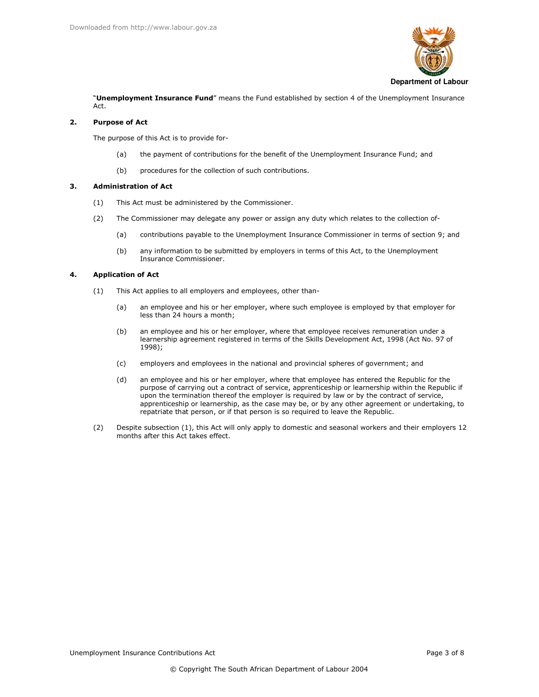

"Unemployment Insurance Fund" means the Fund established by section 4 of the Unemployment Insurance Act.

#### **Purpose of Act**  $\overline{2}$

The purpose of this Act is to provide for-

- the payment of contributions for the benefit of the Unemployment Insurance Fund; and  $(a)$
- procedures for the collection of such contributions.  $(b)$

#### $\overline{\mathbf{3}}$ . **Administration of Act**

- This Act must be administered by the Commissioner.  $(1)$
- $(2)$ The Commissioner may delegate any power or assign any duty which relates to the collection of
	- contributions payable to the Unemployment Insurance Commissioner in terms of section 9; and  $(a)$
	- any information to be submitted by employers in terms of this Act, to the Unemployment  $(b)$ Insurance Commissioner.

#### $\mathbf{A}$ **Application of Act**

- This Act applies to all employers and employees, other than- $(1)$ 
	- an employee and his or her employer, where such employee is employed by that employer for  $(a)$ less than 24 hours a month;
	- an employee and his or her employer, where that employee receives remuneration under a  $(b)$ learnership agreement registered in terms of the Skills Development Act, 1998 (Act No. 97 of 1998);
	- employers and employees in the national and provincial spheres of government; and  $(c)$
	- an employee and his or her employer, where that employee has entered the Republic for the  $(d)$ purpose of carrying out a contract of service, apprenticeship or learnership within the Republic if upon the termination thereof the employer is required by law or by the contract of service, apprenticeship or learnership, as the case may be, or by any other agreement or undertaking, to repatriate that person, or if that person is so required to leave the Republic.
- $(2)$ Despite subsection (1), this Act will only apply to domestic and seasonal workers and their employers 12 months after this Act takes effect.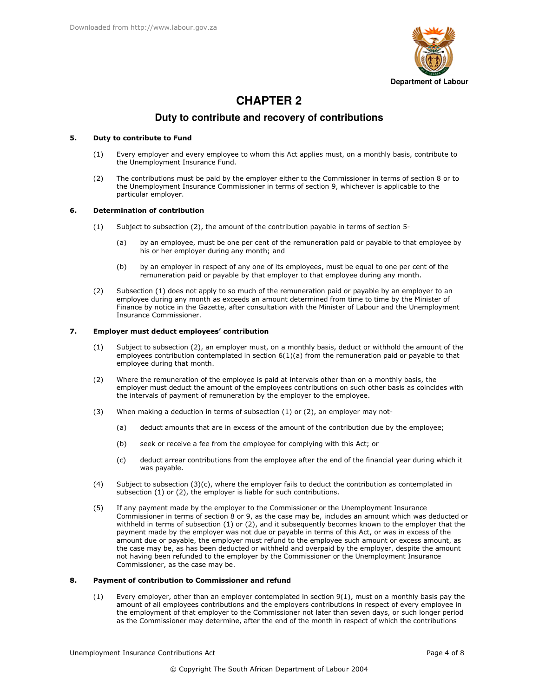

# **CHAPTER 2**

## Duty to contribute and recovery of contributions

#### $5.$ Duty to contribute to Fund

- Every employer and every employee to whom this Act applies must, on a monthly basis, contribute to  $(1)$ the Unemployment Insurance Fund.
- $(2)$ The contributions must be paid by the employer either to the Commissioner in terms of section 8 or to the Unemployment Insurance Commissioner in terms of section 9, whichever is applicable to the particular employer.

#### 6. **Determination of contribution**

- Subject to subsection (2), the amount of the contribution payable in terms of section 5- $(1)$ 
	- (a) by an employee, must be one per cent of the remuneration paid or payable to that employee by his or her employer during any month; and
	- $(b)$ by an employer in respect of any one of its employees, must be equal to one per cent of the remuneration paid or payable by that employer to that employee during any month.
- Subsection (1) does not apply to so much of the remuneration paid or payable by an employer to an  $(2)$ employee during any month as exceeds an amount determined from time to time by the Minister of Finance by notice in the Gazette, after consultation with the Minister of Labour and the Unemployment Insurance Commissioner

#### 7. Employer must deduct employees' contribution

- Subject to subsection (2), an employer must, on a monthly basis, deduct or withhold the amount of the  $(1)$ employees contribution contemplated in section  $6(1)(a)$  from the remuneration paid or payable to that employee during that month.
- $(2)$ Where the remuneration of the employee is paid at intervals other than on a monthly basis, the employer must deduct the amount of the employees contributions on such other basis as coincides with the intervals of payment of remuneration by the employer to the employee.
- $(3)$ When making a deduction in terms of subsection (1) or (2), an employer may not-
	- $(a)$ deduct amounts that are in excess of the amount of the contribution due by the employee:
	- $(b)$ seek or receive a fee from the employee for complying with this Act; or
	- $(c)$ deduct arrear contributions from the employee after the end of the financial year during which it was payable.
- Subject to subsection  $(3)(c)$ , where the employer fails to deduct the contribution as contemplated in  $(4)$ subsection (1) or (2), the employer is liable for such contributions.
- $(5)$ If any payment made by the employer to the Commissioner or the Unemployment Insurance Commissioner in terms of section 8 or 9, as the case may be, includes an amount which was deducted or withheld in terms of subsection  $(1)$  or  $(2)$ , and it subsequently becomes known to the employer that the payment made by the employer was not due or payable in terms of this Act, or was in excess of the amount due or payable, the employer must refund to the employee such amount or excess amount, as the case may be, as has been deducted or withheld and overpaid by the employer, despite the amount not having been refunded to the employer by the Commissioner or the Unemployment Insurance Commissioner, as the case may be.

#### 8. Payment of contribution to Commissioner and refund

Every employer, other than an employer contemplated in section 9(1), must on a monthly basis pay the  $(1)$ amount of all employees contributions and the employers contributions in respect of every employee in the employment of that employer to the Commissioner not later than seven days, or such longer period as the Commissioner may determine, after the end of the month in respect of which the contributions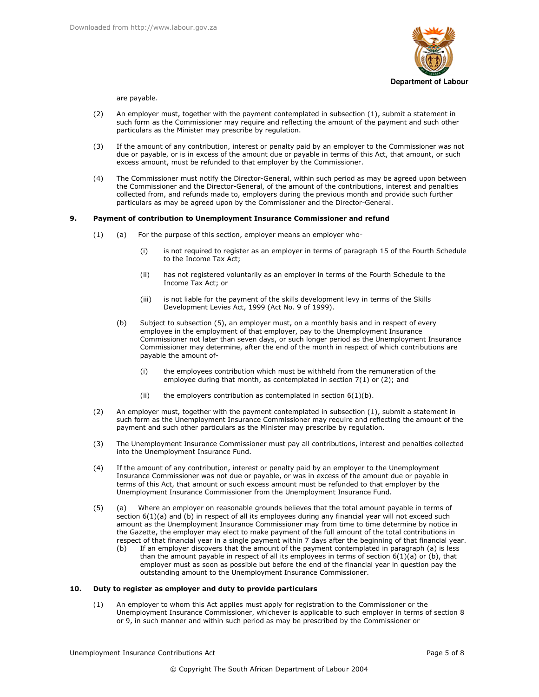

are payable.

- $(2)$ An employer must, together with the payment contemplated in subsection (1), submit a statement in such form as the Commissioner may require and reflecting the amount of the payment and such other particulars as the Minister may prescribe by regulation.
- $(3)$ If the amount of any contribution, interest or penalty paid by an employer to the Commissioner was not due or payable, or is in excess of the amount due or payable in terms of this Act, that amount, or such excess amount, must be refunded to that employer by the Commissioner.
- The Commissioner must notify the Director-General, within such period as may be agreed upon between  $(4)$ the Commissioner and the Director-General, of the amount of the contributions, interest and penalties collected from, and refunds made to, employers during the previous month and provide such further particulars as may be agreed upon by the Commissioner and the Director-General.

#### $9.$ Payment of contribution to Unemployment Insurance Commissioner and refund

- For the purpose of this section, employer means an employer who- $(1)$  $(a)$ 
	- is not required to register as an employer in terms of paragraph 15 of the Fourth Schedule  $(i)$ to the Income Tax Act:
	- $(i)$ has not registered voluntarily as an employer in terms of the Fourth Schedule to the Income Tax Act; or
	- $(iii)$ is not liable for the payment of the skills development levy in terms of the Skills Development Levies Act, 1999 (Act No. 9 of 1999).
	- $(h)$ Subject to subsection (5), an employer must, on a monthly basis and in respect of every employee in the employment of that employer, pay to the Unemployment Insurance Commissioner not later than seven days, or such longer period as the Unemployment Insurance Commissioner may determine, after the end of the month in respect of which contributions are payable the amount of
		- the employees contribution which must be withheld from the remuneration of the  $(i)$ employee during that month, as contemplated in section 7(1) or (2); and
		- $(iii)$ the employers contribution as contemplated in section  $6(1)(b)$ .
- $(2)$ An employer must, together with the payment contemplated in subsection (1), submit a statement in such form as the Unemployment Insurance Commissioner may require and reflecting the amount of the payment and such other particulars as the Minister may prescribe by regulation.
- $(3)$ The Unemployment Insurance Commissioner must pay all contributions, interest and penalties collected into the Unemployment Insurance Fund.
- $(4)$ If the amount of any contribution, interest or penalty paid by an employer to the Unemployment Insurance Commissioner was not due or payable, or was in excess of the amount due or payable in terms of this Act, that amount or such excess amount must be refunded to that employer by the Unemployment Insurance Commissioner from the Unemployment Insurance Fund.
- $(5)$ Where an employer on reasonable grounds believes that the total amount payable in terms of  $(a)$ section 6(1)(a) and (b) in respect of all its employees during any financial year will not exceed such amount as the Unemployment Insurance Commissioner may from time to time determine by notice in the Gazette, the employer may elect to make payment of the full amount of the total contributions in respect of that financial year in a single payment within 7 days after the beginning of that financial year.
	- If an employer discovers that the amount of the payment contemplated in paragraph (a) is less  $(b)$ than the amount payable in respect of all its employees in terms of section  $6(1)(a)$  or (b), that employer must as soon as possible but before the end of the financial year in question pay the outstanding amount to the Unemployment Insurance Commissioner.

#### $10.$ Duty to register as employer and duty to provide particulars

An employer to whom this Act applies must apply for registration to the Commissioner or the  $(1)$ Unemployment Insurance Commissioner, whichever is applicable to such employer in terms of section 8 or 9, in such manner and within such period as may be prescribed by the Commissioner or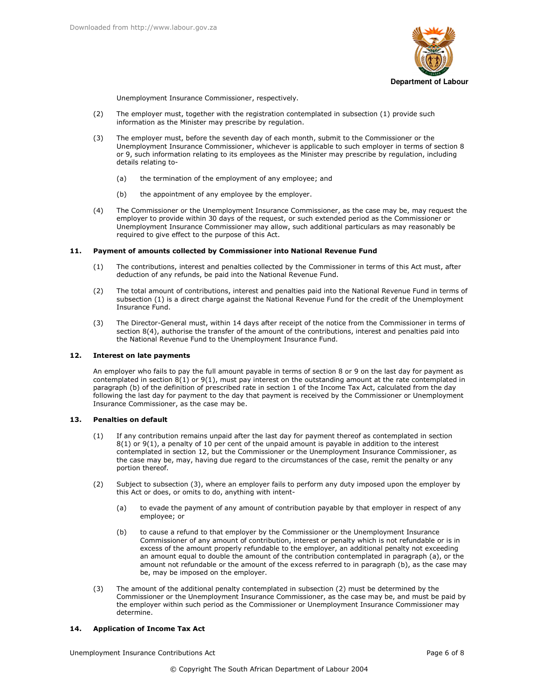

Unemployment Insurance Commissioner, respectively.

- $(2)$ The employer must, together with the registration contemplated in subsection (1) provide such information as the Minister may prescribe by regulation.
- $(3)$ The employer must, before the seventh day of each month, submit to the Commissioner or the Unemployment Insurance Commissioner, whichever is applicable to such employer in terms of section 8 or 9, such information relating to its employees as the Minister may prescribe by regulation, including details relating to
	- the termination of the employment of any employee; and  $(a)$
	- $(b)$ the appointment of any employee by the employer.
- The Commissioner or the Unemployment Insurance Commissioner, as the case may be, may request the  $(4)$ employer to provide within 30 days of the request, or such extended period as the Commissioner or Unemployment Insurance Commissioner may allow, such additional particulars as may reasonably be required to give effect to the purpose of this Act.

#### Payment of amounts collected by Commissioner into National Revenue Fund 11.

- The contributions, interest and penalties collected by the Commissioner in terms of this Act must, after  $(1)$ deduction of any refunds, be paid into the National Revenue Fund.
- The total amount of contributions, interest and penalties paid into the National Revenue Fund in terms of  $(2)$ subsection (1) is a direct charge against the National Revenue Fund for the credit of the Unemployment Insurance Fund.
- $(3)$ The Director-General must, within 14 days after receipt of the notice from the Commissioner in terms of section 8(4), authorise the transfer of the amount of the contributions, interest and penalties paid into the National Revenue Fund to the Unemployment Insurance Fund.

#### $12.$ **Interest on late payments**

An employer who fails to pay the full amount payable in terms of section 8 or 9 on the last day for payment as contemplated in section 8(1) or 9(1), must pay interest on the outstanding amount at the rate contemplated in paragraph (b) of the definition of prescribed rate in section 1 of the Income Tax Act, calculated from the day following the last day for payment to the day that payment is received by the Commissioner or Unemployment Insurance Commissioner, as the case may be.

#### 13. **Penalties on default**

- If any contribution remains unpaid after the last day for payment thereof as contemplated in section  $(1)$  $8(1)$  or  $9(1)$ , a penalty of 10 per cent of the unpaid amount is payable in addition to the interest contemplated in section 12, but the Commissioner or the Unemployment Insurance Commissioner, as the case may be, may, having due regard to the circumstances of the case, remit the penalty or any portion thereof.
- $(2)$ Subject to subsection (3), where an employer fails to perform any duty imposed upon the employer by this Act or does, or omits to do, anything with intent
	- to evade the payment of any amount of contribution payable by that employer in respect of any  $(a)$ employee; or
	- to cause a refund to that employer by the Commissioner or the Unemployment Insurance  $(b)$ Commissioner of any amount of contribution, interest or penalty which is not refundable or is in excess of the amount properly refundable to the employer, an additional penalty not exceeding an amount equal to double the amount of the contribution contemplated in paragraph (a), or the amount not refundable or the amount of the excess referred to in paragraph (b), as the case may be, may be imposed on the employer.
- $(3)$ The amount of the additional penalty contemplated in subsection (2) must be determined by the Commissioner or the Unemployment Insurance Commissioner, as the case may be, and must be paid by the employer within such period as the Commissioner or Unemployment Insurance Commissioner may determine.

#### **Application of Income Tax Act**  $14.$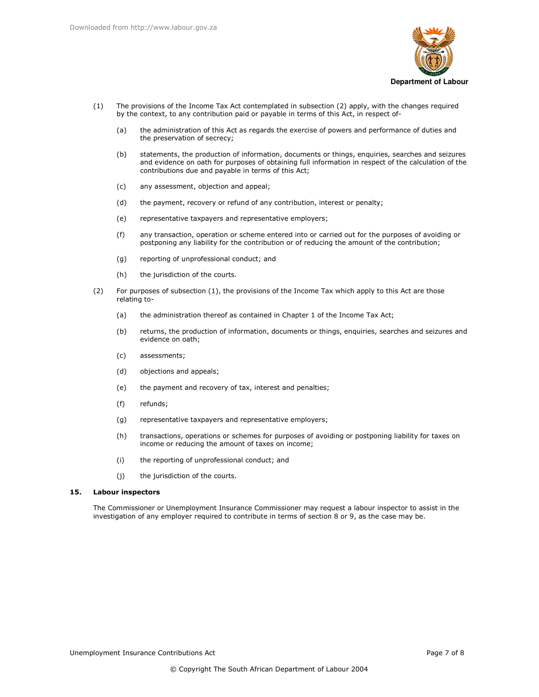

- The provisions of the Income Tax Act contemplated in subsection (2) apply, with the changes required  $(1)$ by the context, to any contribution paid or payable in terms of this Act, in respect of
	- the administration of this Act as regards the exercise of powers and performance of duties and  $(a)$ the preservation of secrecy;
	- $(b)$ statements, the production of information, documents or things, enquiries, searches and seizures and evidence on oath for purposes of obtaining full information in respect of the calculation of the contributions due and payable in terms of this Act;
	- any assessment, objection and appeal;  $(c)$
	- $(d)$ the payment, recovery or refund of any contribution, interest or penalty;
	- $(e)$ representative taxpayers and representative employers;
	- $(f)$ any transaction, operation or scheme entered into or carried out for the purposes of avoiding or postponing any liability for the contribution or of reducing the amount of the contribution;
	- reporting of unprofessional conduct; and  $(g)$
	- the jurisdiction of the courts.  $(h)$
- $(2)$ For purposes of subsection (1), the provisions of the Income Tax which apply to this Act are those relating to
	- the administration thereof as contained in Chapter 1 of the Income Tax Act;  $(a)$
	- $(b)$ returns, the production of information, documents or things, enquiries, searches and seizures and evidence on oath;
	- $(c)$ assessments;
	- objections and appeals;  $(d)$
	- $(e)$ the payment and recovery of tax, interest and penalties;
	- $(f)$ refunds;
	- $(g)$ representative taxpayers and representative employers;
	- transactions, operations or schemes for purposes of avoiding or postponing liability for taxes on  $(h)$ income or reducing the amount of taxes on income;
	- $(i)$ the reporting of unprofessional conduct; and
	- the jurisdiction of the courts.  $(i)$

#### $15.$ **Labour inspectors**

The Commissioner or Unemployment Insurance Commissioner may request a labour inspector to assist in the investigation of any employer required to contribute in terms of section 8 or 9, as the case may be.